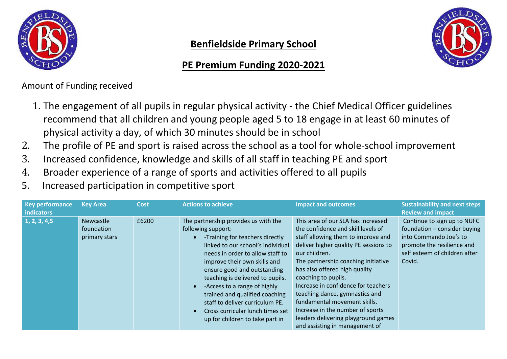

## **Benfieldside Primary School**

## **PE Premium Funding 2020-2021**



Amount of Funding received

- 1. The engagement of all pupils in regular physical activity the Chief Medical Officer guidelines recommend that all children and young people aged 5 to 18 engage in at least 60 minutes of physical activity a day, of which 30 minutes should be in school
- 2. The profile of PE and sport is raised across the school as a tool for whole-school improvement<br>3. Increased confidence, knowledge and skills of all staff in teaching PF and sport
- 3. Increased confidence, knowledge and skills of all staff in teaching PE and sport
- 4. Broader experience of a range of sports and activities offered to all pupils
- 5. Increased participation in competitive sport

| <b>Key performance</b><br>indicators | <b>Key Area</b>                                 | <b>Cost</b> | <b>Actions to achieve</b>                                                                                                                                                                                                                                                                                                                                                                                                                             | <b>Impact and outcomes</b>                                                                                                                                                                                                                                                                                                                                                                                                                                                                    | <b>Sustainability and next steps</b><br><b>Review and impact</b>                                                                                               |
|--------------------------------------|-------------------------------------------------|-------------|-------------------------------------------------------------------------------------------------------------------------------------------------------------------------------------------------------------------------------------------------------------------------------------------------------------------------------------------------------------------------------------------------------------------------------------------------------|-----------------------------------------------------------------------------------------------------------------------------------------------------------------------------------------------------------------------------------------------------------------------------------------------------------------------------------------------------------------------------------------------------------------------------------------------------------------------------------------------|----------------------------------------------------------------------------------------------------------------------------------------------------------------|
| 1, 2, 3, 4, 5                        | <b>Newcastle</b><br>foundation<br>primary stars | £6200       | The partnership provides us with the<br>following support:<br>-Training for teachers directly<br>linked to our school's individual<br>needs in order to allow staff to<br>improve their own skills and<br>ensure good and outstanding<br>teaching is delivered to pupils.<br>-Access to a range of highly<br>trained and qualified coaching<br>staff to deliver curriculum PE.<br>Cross curricular lunch times set<br>up for children to take part in | This area of our SLA has increased<br>the confidence and skill levels of<br>staff allowing them to improve and<br>deliver higher quality PE sessions to<br>our children.<br>The partnership coaching initiative<br>has also offered high quality<br>coaching to pupils.<br>Increase in confidence for teachers<br>teaching dance, gymnastics and<br>fundamental movement skills.<br>Increase in the number of sports<br>leaders delivering playground games<br>and assisting in management of | Continue to sign up to NUFC<br>foundation - consider buying<br>into Commando Joe's to<br>promote the resilience and<br>self esteem of children after<br>Covid. |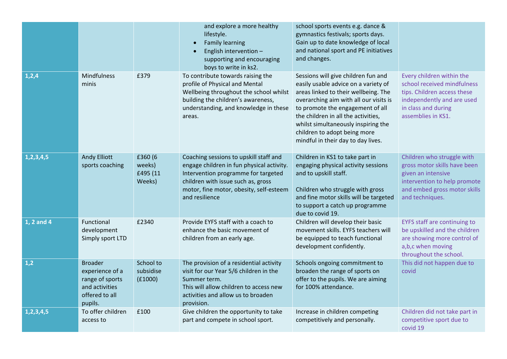|               |                                                                                                     |                                         | and explore a more healthy<br>lifestyle.<br><b>Family learning</b><br>English intervention -<br>supporting and encouraging<br>boys to write in ks2.                                                                           | school sports events e.g. dance &<br>gymnastics festivals; sports days.<br>Gain up to date knowledge of local<br>and national sport and PE initiatives<br>and changes.                                                                                                                                                                                |                                                                                                                                                                     |
|---------------|-----------------------------------------------------------------------------------------------------|-----------------------------------------|-------------------------------------------------------------------------------------------------------------------------------------------------------------------------------------------------------------------------------|-------------------------------------------------------------------------------------------------------------------------------------------------------------------------------------------------------------------------------------------------------------------------------------------------------------------------------------------------------|---------------------------------------------------------------------------------------------------------------------------------------------------------------------|
| 1,2,4         | Mindfulness<br>minis                                                                                | £379                                    | To contribute towards raising the<br>profile of Physical and Mental<br>Wellbeing throughout the school whilst<br>building the children's awareness,<br>understanding, and knowledge in these<br>areas.                        | Sessions will give children fun and<br>easily usable advice on a variety of<br>areas linked to their wellbeing. The<br>overarching aim with all our visits is<br>to promote the engagement of all<br>the children in all the activities,<br>whilst simultaneously inspiring the<br>children to adopt being more<br>mindful in their day to day lives. | Every children within the<br>school received mindfulness<br>tips. Children access these<br>independently and are used<br>in class and during<br>assemblies in KS1.  |
| 1, 2, 3, 4, 5 | <b>Andy Elliott</b><br>sports coaching                                                              | £360 (6<br>weeks)<br>£495 (11<br>Weeks) | Coaching sessions to upskill staff and<br>engage children in fun physical activity.<br>Intervention programme for targeted<br>children with issue such as, gross<br>motor, fine motor, obesity, self-esteem<br>and resilience | Children in KS1 to take part in<br>engaging physical activity sessions<br>and to upskill staff.<br>Children who struggle with gross<br>and fine motor skills will be targeted<br>to support a catch up programme<br>due to covid 19.                                                                                                                  | Children who struggle with<br>gross motor skills have been<br>given an intensive<br>intervention to help promote<br>and embed gross motor skills<br>and techniques. |
| 1, 2 and 4    | Functional<br>development<br>Simply sport LTD                                                       | £2340                                   | Provide EYFS staff with a coach to<br>enhance the basic movement of<br>children from an early age.                                                                                                                            | Children will develop their basic<br>movement skills. EYFS teachers will<br>be equipped to teach functional<br>development confidently.                                                                                                                                                                                                               | EYFS staff are continuing to<br>be upskilled and the children<br>are showing more control of<br>a,b,c when moving<br>throughout the school.                         |
| 1,2           | <b>Broader</b><br>experience of a<br>range of sports<br>and activities<br>offered to all<br>pupils. | School to<br>subsidise<br>(f1000)       | The provision of a residential activity<br>visit for our Year 5/6 children in the<br>Summer term.<br>This will allow children to access new<br>activities and allow us to broaden<br>provision.                               | Schools ongoing commitment to<br>broaden the range of sports on<br>offer to the pupils. We are aiming<br>for 100% attendance.                                                                                                                                                                                                                         | This did not happen due to<br>covid                                                                                                                                 |
| 1, 2, 3, 4, 5 | To offer children<br>access to                                                                      | £100                                    | Give children the opportunity to take<br>part and compete in school sport.                                                                                                                                                    | Increase in children competing<br>competitively and personally.                                                                                                                                                                                                                                                                                       | Children did not take part in<br>competitive sport due to<br>covid 19                                                                                               |